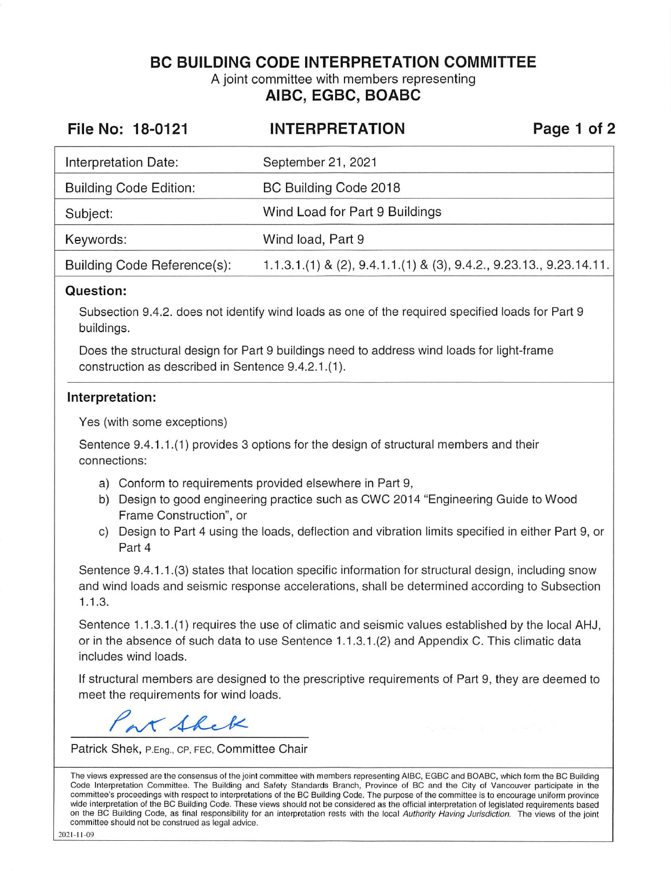**BC BUILDING CODE INTERPRETATION COMMITTEE** 

A joint committee with members representing **AIBC, EGBC, BOABC** 

| File No: 18-0121              | <b>INTERPRETATION</b>                                                         | Page 1 of 2 |
|-------------------------------|-------------------------------------------------------------------------------|-------------|
| Interpretation Date:          | September 21, 2021                                                            |             |
| <b>Building Code Edition:</b> | BC Building Code 2018                                                         |             |
| Subject:                      | Wind Load for Part 9 Buildings                                                |             |
| Keywords:                     | Wind load, Part 9                                                             |             |
| Building Code Reference(s):   | $1.1.3.1(1)$ & (2), $9.4.1.1(1)$ & (3), $9.4.2.$ , $9.23.13.$ , $9.23.14.11.$ |             |

## **Question:**

Subsection 9.4.2. does not identify wind loads as one of the required specified loads for Part 9 buildings.

Does the structural design for Part 9 buildings need to address wind loads for light-frame construction as described in Sentence 9.4.2.1.(1).

## **Interpretation:**

Yes (with some exceptions)

Sentence 9.4.1.1.(1) provides 3 options for the design of structural members and their connections:

- a) Conform to requirements provided elsewhere in Part 9,
- b) Design to good engineering practice such as CWC 2014 "Engineering Guide to Wood Frame Construction", or
- c) Design to Part 4 using the loads, deflection and vibration limits specified in either Part 9, or Part 4

Sentence 9.4.1 .1.(3) states that location specific information for structural design, including snow and wind loads and seismic response accelerations, shall be determined according to Subsection 1.1.3.

Sentence 1.1.3.1.(1) requires the use of climatic and seismic values established by the local AHJ, or in the absence of such data to use Sentence 1.1.3.1.(2) and Appendix C. This climatic data includes wind loads.

If structural members are designed to the prescriptive requirements of Part 9, they are deemed to meet the requirements for wind loads.

x Shek

Patrick Shek, P.Eng., CP, FEC, Committee Chair

The views expressed are the consensus of the joint committee with members representing AIBC, EGBC and BOABC, which form the BC Building Code Interpretation Committee. The Building and Safety Standards Branch, Province of BC and the City of Vancouver participate in the committee's proceedings with respect to interpretations of the BC Building Code. The purpose of the committee is to encourage uniform province wide interpretation of the BC Building Code. These views should not be considered as the official interpretation of legislated requirements based on the BC Building Code, as final responsibility for an interpretation rests with the local Authority Having Jurisdiction. The views of the joint committee should not be construed as legal advice.